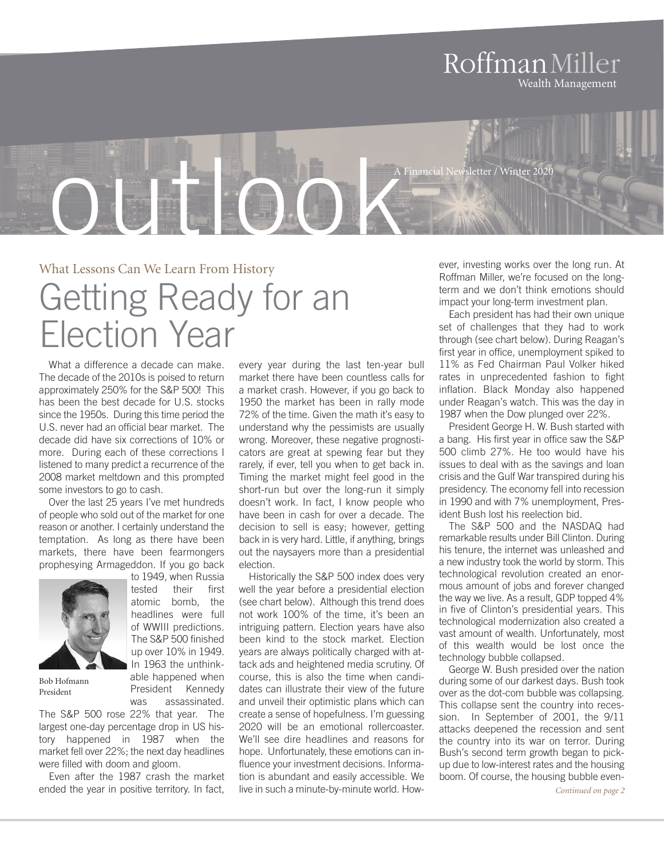### RoffmanMiller Wealth Management

vsletter / Winter 2020

What Lessons Can We Learn From History Getting Ready for an Election Year

**outled** Contract Contract Contract Contract On the Contract On the Contract On the Contract On the Contract On the Contract On the Contract On the Contract On the Contract On the Contract On the Contract On the Contract O

What a difference a decade can make. The decade of the 2010s is poised to return approximately 250% for the S&P 500! This has been the best decade for U.S. stocks since the 1950s. During this time period the U.S. never had an official bear market. The decade did have six corrections of 10% or more. During each of these corrections I listened to many predict a recurrence of the 2008 market meltdown and this prompted some investors to go to cash.

Over the last 25 years I've met hundreds of people who sold out of the market for one reason or another. I certainly understand the temptation. As long as there have been markets, there have been fearmongers prophesying Armageddon. If you go back to 1949, when Russia

> tested their first atomic bomb, the headlines were full of WWIII predictions. The S&P 500 finished up over 10% in 1949. In 1963 the unthinkable happened when President Kennedy



Bob Hofmann President

was assassinated. The S&P 500 rose 22% that year. The largest one-day percentage drop in US history happened in 1987 when the market fell over 22%; the next day headlines were filled with doom and gloom.

Even after the 1987 crash the market ended the year in positive territory. In fact,

every year during the last ten-year bull market there have been countless calls for a market crash. However, if you go back to 1950 the market has been in rally mode 72% of the time. Given the math it's easy to understand why the pessimists are usually wrong. Moreover, these negative prognosticators are great at spewing fear but they rarely, if ever, tell you when to get back in. Timing the market might feel good in the short-run but over the long-run it simply doesn't work. In fact, I know people who have been in cash for over a decade. The decision to sell is easy; however, getting back in is very hard. Little, if anything, brings out the naysayers more than a presidential election.

Historically the S&P 500 index does very well the year before a presidential election (see chart below). Although this trend does not work 100% of the time, it's been an intriguing pattern. Election years have also been kind to the stock market. Election years are always politically charged with attack ads and heightened media scrutiny. Of course, this is also the time when candidates can illustrate their view of the future and unveil their optimistic plans which can create a sense of hopefulness. I'm guessing 2020 will be an emotional rollercoaster. We'll see dire headlines and reasons for hope. Unfortunately, these emotions can influence your investment decisions. Information is abundant and easily accessible. We live in such a minute-by-minute world. However, investing works over the long run. At Roffman Miller, we're focused on the longterm and we don't think emotions should impact your long-term investment plan.

Each president has had their own unique set of challenges that they had to work through (see chart below). During Reagan's first year in office, unemployment spiked to 11% as Fed Chairman Paul Volker hiked rates in unprecedented fashion to fight inflation. Black Monday also happened under Reagan's watch. This was the day in 1987 when the Dow plunged over 22%.

President George H. W. Bush started with a bang. His first year in office saw the S&P 500 climb 27%. He too would have his issues to deal with as the savings and loan crisis and the Gulf War transpired during his presidency. The economy fell into recession in 1990 and with 7% unemployment, President Bush lost his reelection bid.

The S&P 500 and the NASDAQ had remarkable results under Bill Clinton. During his tenure, the internet was unleashed and a new industry took the world by storm. This technological revolution created an enormous amount of jobs and forever changed the way we live. As a result, GDP topped 4% in five of Clinton's presidential years. This technological modernization also created a vast amount of wealth. Unfortunately, most of this wealth would be lost once the technology bubble collapsed.

George W. Bush presided over the nation during some of our darkest days. Bush took over as the dot-com bubble was collapsing. This collapse sent the country into recession. In September of 2001, the 9/11 attacks deepened the recession and sent the country into its war on terror. During Bush's second term growth began to pickup due to low-interest rates and the housing boom. Of course, the housing bubble even-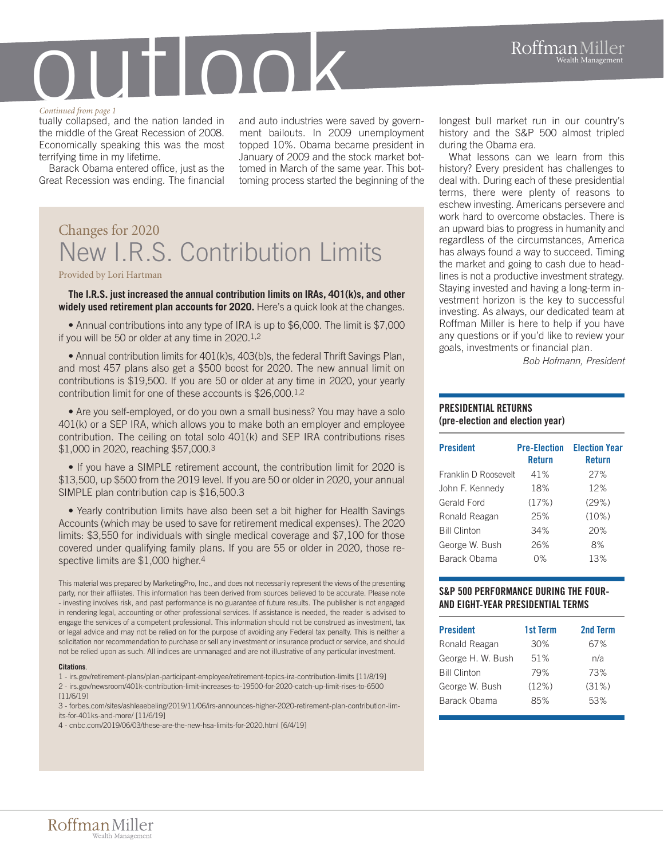#### *Continued from page 1*

tually collapsed, and the nation landed in the middle of the Great Recession of 2008. Economically speaking this was the most terrifying time in my lifetime.

Barack Obama entered office, just as the Great Recession was ending. The financial and auto industries were saved by government bailouts. In 2009 unemployment topped 10%. Obama became president in January of 2009 and the stock market bottomed in March of the same year. This bottoming process started the beginning of the

## Changes for 2020 New I.R.S. Contribution Limits

Provided by Lori Hartman

**The I.R.S. just increased the annual contribution limits on IRAs, 401(k)s, and other widely used retirement plan accounts for 2020.** Here's a quick look at the changes.

• Annual contributions into any type of IRA is up to \$6,000. The limit is \$7,000 if you will be 50 or older at any time in 2020.1,2

• Annual contribution limits for 401(k)s, 403(b)s, the federal Thrift Savings Plan, and most 457 plans also get a \$500 boost for 2020. The new annual limit on contributions is \$19,500. If you are 50 or older at any time in 2020, your yearly contribution limit for one of these accounts is \$26,000.1,2

• Are you self-employed, or do you own a small business? You may have a solo 401(k) or a SEP IRA, which allows you to make both an employer and employee contribution. The ceiling on total solo 401(k) and SEP IRA contributions rises \$1,000 in 2020, reaching \$57,000.3

• If you have a SIMPLE retirement account, the contribution limit for 2020 is \$13,500, up \$500 from the 2019 level. If you are 50 or older in 2020, your annual SIMPLE plan contribution cap is \$16,500.3

• Yearly contribution limits have also been set a bit higher for Health Savings Accounts (which may be used to save for retirement medical expenses). The 2020 limits: \$3,550 for individuals with single medical coverage and \$7,100 for those covered under qualifying family plans. If you are 55 or older in 2020, those respective limits are \$1,000 higher.<sup>4</sup>

This material was prepared by MarketingPro, Inc., and does not necessarily represent the views of the presenting party, nor their affiliates. This information has been derived from sources believed to be accurate. Please note - investing involves risk, and past performance is no guarantee of future results. The publisher is not engaged in rendering legal, accounting or other professional services. If assistance is needed, the reader is advised to engage the services of a competent professional. This information should not be construed as investment, tax or legal advice and may not be relied on for the purpose of avoiding any Federal tax penalty. This is neither a solicitation nor recommendation to purchase or sell any investment or insurance product or service, and should not be relied upon as such. All indices are unmanaged and are not illustrative of any particular investment.

#### **Citations**.

1 - irs.gov/retirement-plans/plan-participant-employee/retirement-topics-ira-contribution-limits [11/8/19] 2 - irs.gov/newsroom/401k-contribution-limit-increases-to-19500-for-2020-catch-up-limit-rises-to-6500  $[11/6/19]$ 

3 - forbes.com/sites/ashleaebeling/2019/11/06/irs-announces-higher-2020-retirement-plan-contribution-limits-for-401ks-and-more/ [11/6/19]

4 - cnbc.com/2019/06/03/these-are-the-new-hsa-limits-for-2020.html [6/4/19]

longest bull market run in our country's history and the S&P 500 almost tripled during the Obama era.

What lessons can we learn from this history? Every president has challenges to deal with. During each of these presidential terms, there were plenty of reasons to eschew investing. Americans persevere and work hard to overcome obstacles. There is an upward bias to progress in humanity and regardless of the circumstances, America has always found a way to succeed. Timing the market and going to cash due to headlines is not a productive investment strategy. Staying invested and having a long-term investment horizon is the key to successful investing. As always, our dedicated team at Roffman Miller is here to help if you have any questions or if you'd like to review your goals, investments or financial plan.

*Bob Hofmann, President*

#### **PRESIDENTIAL RETURNS (pre-election and election year)**

| <b>President</b>     | <b>Pre-Election</b><br><b>Return</b> | <b>Election Year</b><br><b>Return</b> |
|----------------------|--------------------------------------|---------------------------------------|
| Franklin D Roosevelt | 41%                                  | 27%                                   |
| John F. Kennedy      | 18%                                  | 12%                                   |
| Gerald Ford          | (17%)                                | (29%)                                 |
| Ronald Reagan        | 25%                                  | $(10\%)$                              |
| <b>Bill Clinton</b>  | 34%                                  | 20%                                   |
| George W. Bush       | 26%                                  | 8%                                    |
| Barack Obama         | በ%                                   | 13%                                   |

#### **S&P 500 PERFORMANCE DURING THE FOUR-AND EIGHT-YEAR PRESIDENTIAL TERMS**

| <b>President</b>    | 1st Term | 2nd Term |
|---------------------|----------|----------|
| Ronald Reagan       | 30%      | 67%      |
| George H. W. Bush   | 51%      | n/a      |
| <b>Bill Clinton</b> | 79%      | 73%      |
| George W. Bush      | (12%)    | (31%)    |
| Barack Obama        | 85%      | 53%      |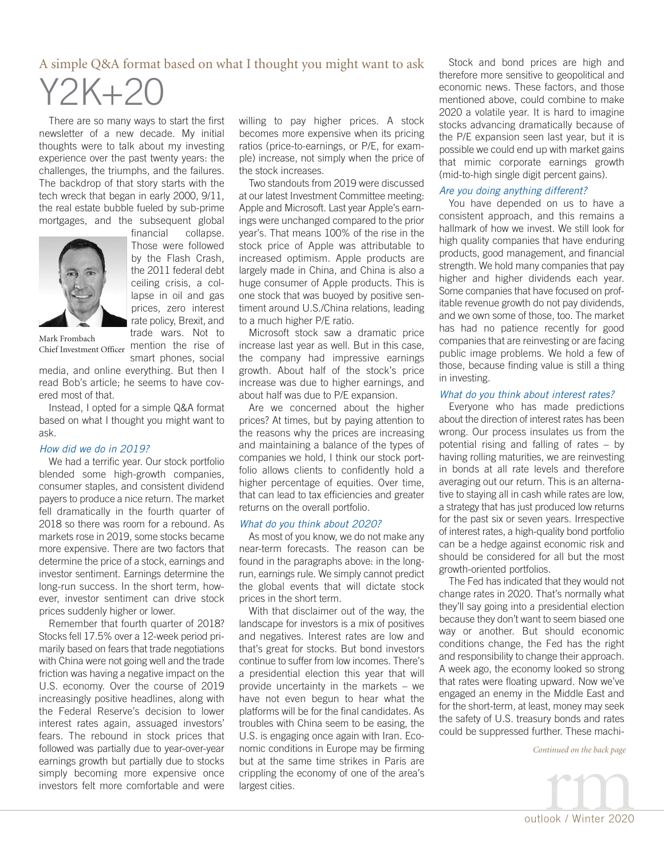#### A simple Q&A format based on what I thought you might want to ask

# Y2K+20

There are so many ways to start the first newsletter of a new decade. My initial thoughts were to talk about my investing experience over the past twenty years: the challenges, the triumphs, and the failures. The backdrop of that story starts with the tech wreck that began in early 2000, 9/11, the real estate bubble fueled by sub-prime mortgages, and the subsequent global<br>financial collapse.



collapse. Those were followed by the Flash Crash, the 2011 federal debt ceiling crisis, a collapse in oil and gas prices, zero interest rate policy, Brexit, and trade wars. Not to

Chief Investment Officer mention the rise of Mark Frombach

smart phones, social media, and online everything. But then I read Bob's article; he seems to have covered most of that.

Instead, I opted for a simple Q&A format based on what I thought you might want to ask.

#### *How did we do in 2019?*

We had a terrific year. Our stock portfolio blended some high-growth companies, consumer staples, and consistent dividend payers to produce a nice return. The market fell dramatically in the fourth quarter of 2018 so there was room for a rebound. As markets rose in 2019, some stocks became more expensive. There are two factors that determine the price of a stock, earnings and investor sentiment. Earnings determine the long-run success. In the short term, however, investor sentiment can drive stock prices suddenly higher or lower.

Remember that fourth quarter of 2018? Stocks fell 17.5% over a 12-week period primarily based on fears that trade negotiations with China were not going well and the trade friction was having a negative impact on the U.S. economy. Over the course of 2019 increasingly positive headlines, along with the Federal Reserve's decision to lower interest rates again, assuaged investors' fears. The rebound in stock prices that followed was partially due to year-over-year earnings growth but partially due to stocks simply becoming more expensive once investors felt more comfortable and were willing to pay higher prices. A stock becomes more expensive when its pricing ratios (price-to-earnings, or P/E, for example) increase, not simply when the price of the stock increases.

Two standouts from 2019 were discussed at our latest Investment Committee meeting: Apple and Microsoft. Last year Apple's earnings were unchanged compared to the prior year's. That means 100% of the rise in the stock price of Apple was attributable to increased optimism. Apple products are largely made in China, and China is also a huge consumer of Apple products. This is one stock that was buoyed by positive sentiment around U.S./China relations, leading to a much higher P/E ratio.

Microsoft stock saw a dramatic price increase last year as well. But in this case, the company had impressive earnings growth. About half of the stock's price increase was due to higher earnings, and about half was due to P/E expansion.

Are we concerned about the higher prices? At times, but by paying attention to the reasons why the prices are increasing and maintaining a balance of the types of companies we hold, I think our stock portfolio allows clients to confidently hold a higher percentage of equities. Over time, that can lead to tax efficiencies and greater returns on the overall portfolio.

#### *What do you think about 2020?*

As most of you know, we do not make any near-term forecasts. The reason can be found in the paragraphs above: in the longrun, earnings rule. We simply cannot predict the global events that will dictate stock prices in the short term.

With that disclaimer out of the way, the landscape for investors is a mix of positives and negatives. Interest rates are low and that's great for stocks. But bond investors continue to suffer from low incomes. There's a presidential election this year that will provide uncertainty in the markets – we have not even begun to hear what the platforms will be for the final candidates. As troubles with China seem to be easing, the U.S. is engaging once again with Iran. Economic conditions in Europe may be firming but at the same time strikes in Paris are crippling the economy of one of the area's largest cities.

Stock and bond prices are high and therefore more sensitive to geopolitical and economic news. These factors, and those mentioned above, could combine to make 2020 a volatile year. It is hard to imagine stocks advancing dramatically because of the P/E expansion seen last year, but it is possible we could end up with market gains that mimic corporate earnings growth (mid-to-high single digit percent gains).

#### *Are you doing anything different?*

You have depended on us to have a consistent approach, and this remains a hallmark of how we invest. We still look for high quality companies that have enduring products, good management, and financial strength. We hold many companies that pay higher and higher dividends each year. Some companies that have focused on profitable revenue growth do not pay dividends, and we own some of those, too. The market has had no patience recently for good companies that are reinvesting or are facing public image problems. We hold a few of those, because finding value is still a thing in investing.

#### *What do you think about interest rates?*

Everyone who has made predictions about the direction of interest rates has been wrong. Our process insulates us from the potential rising and falling of rates – by having rolling maturities, we are reinvesting in bonds at all rate levels and therefore averaging out our return. This is an alternative to staying all in cash while rates are low, a strategy that has just produced low returns for the past six or seven years. Irrespective of interest rates, a high-quality bond portfolio can be a hedge against economic risk and should be considered for all but the most growth-oriented portfolios.

The Fed has indicated that they would not change rates in 2020. That's normally what they'll say going into a presidential election because they don't want to seem biased one way or another. But should economic conditions change, the Fed has the right and responsibility to change their approach. A week ago, the economy looked so strong that rates were floating upward. Now we've engaged an enemy in the Middle East and for the short-term, at least, money may seek the safety of U.S. treasury bonds and rates could be suppressed further. These machi-

*Continued on the back page*